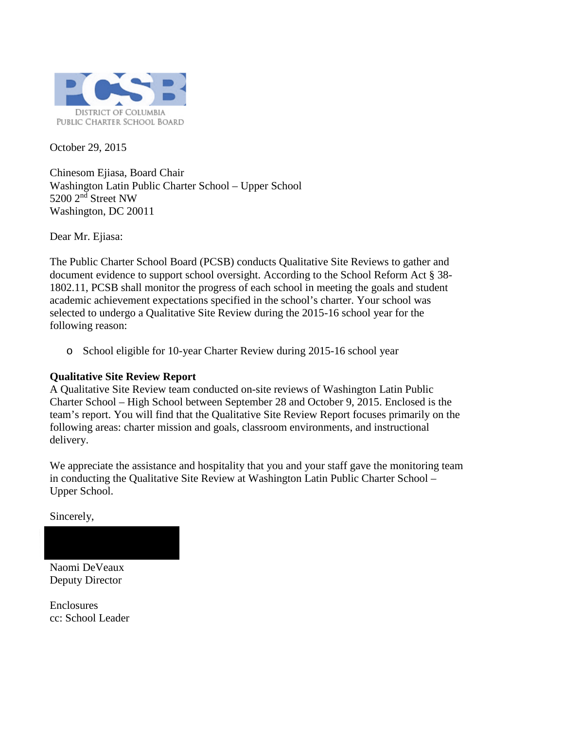

October 29, 2015

Chinesom Ejiasa, Board Chair Washington Latin Public Charter School – Upper School 5200 2<sup>nd</sup> Street NW Washington, DC 20011

Dear Mr. Ejiasa:

The Public Charter School Board (PCSB) conducts Qualitative Site Reviews to gather and document evidence to support school oversight. According to the School Reform Act § 38- 1802.11, PCSB shall monitor the progress of each school in meeting the goals and student academic achievement expectations specified in the school's charter. Your school was selected to undergo a Qualitative Site Review during the 2015-16 school year for the following reason:

o School eligible for 10-year Charter Review during 2015-16 school year

### **Qualitative Site Review Report**

A Qualitative Site Review team conducted on-site reviews of Washington Latin Public Charter School – High School between September 28 and October 9, 2015. Enclosed is the team's report. You will find that the Qualitative Site Review Report focuses primarily on the following areas: charter mission and goals, classroom environments, and instructional delivery.

We appreciate the assistance and hospitality that you and your staff gave the monitoring team in conducting the Qualitative Site Review at Washington Latin Public Charter School – Upper School.

Sincerely,

Naomi DeVeaux Deputy Director

**Enclosures** cc: School Leader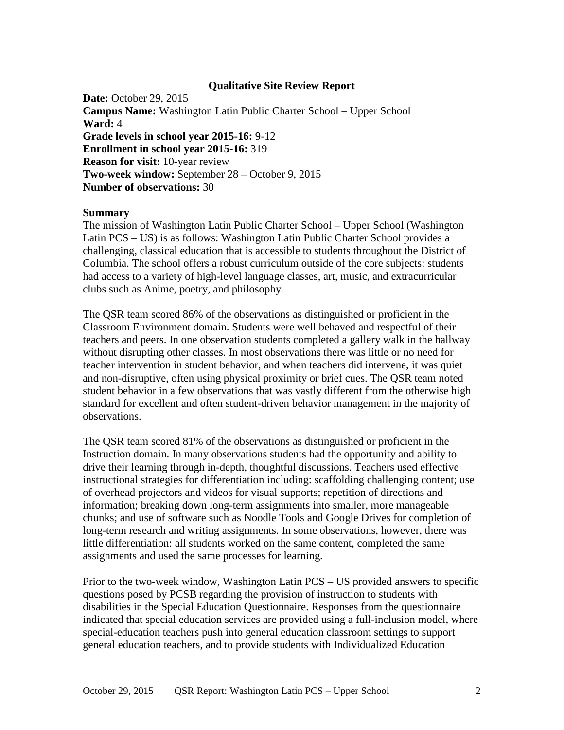### **Qualitative Site Review Report**

**Date:** October 29, 2015 **Campus Name:** Washington Latin Public Charter School – Upper School **Ward:** 4 **Grade levels in school year 2015-16:** 9-12 **Enrollment in school year 2015-16:** 319 **Reason for visit:** 10-year review **Two-week window:** September 28 – October 9, 2015 **Number of observations:** 30

#### **Summary**

The mission of Washington Latin Public Charter School – Upper School (Washington Latin PCS – US) is as follows: Washington Latin Public Charter School provides a challenging, classical education that is accessible to students throughout the District of Columbia. The school offers a robust curriculum outside of the core subjects: students had access to a variety of high-level language classes, art, music, and extracurricular clubs such as Anime, poetry, and philosophy.

The QSR team scored 86% of the observations as distinguished or proficient in the Classroom Environment domain. Students were well behaved and respectful of their teachers and peers. In one observation students completed a gallery walk in the hallway without disrupting other classes. In most observations there was little or no need for teacher intervention in student behavior, and when teachers did intervene, it was quiet and non-disruptive, often using physical proximity or brief cues. The QSR team noted student behavior in a few observations that was vastly different from the otherwise high standard for excellent and often student-driven behavior management in the majority of observations.

The QSR team scored 81% of the observations as distinguished or proficient in the Instruction domain. In many observations students had the opportunity and ability to drive their learning through in-depth, thoughtful discussions. Teachers used effective instructional strategies for differentiation including: scaffolding challenging content; use of overhead projectors and videos for visual supports; repetition of directions and information; breaking down long-term assignments into smaller, more manageable chunks; and use of software such as Noodle Tools and Google Drives for completion of long-term research and writing assignments. In some observations, however, there was little differentiation: all students worked on the same content, completed the same assignments and used the same processes for learning.

Prior to the two-week window, Washington Latin PCS – US provided answers to specific questions posed by PCSB regarding the provision of instruction to students with disabilities in the Special Education Questionnaire. Responses from the questionnaire indicated that special education services are provided using a full-inclusion model, where special-education teachers push into general education classroom settings to support general education teachers, and to provide students with Individualized Education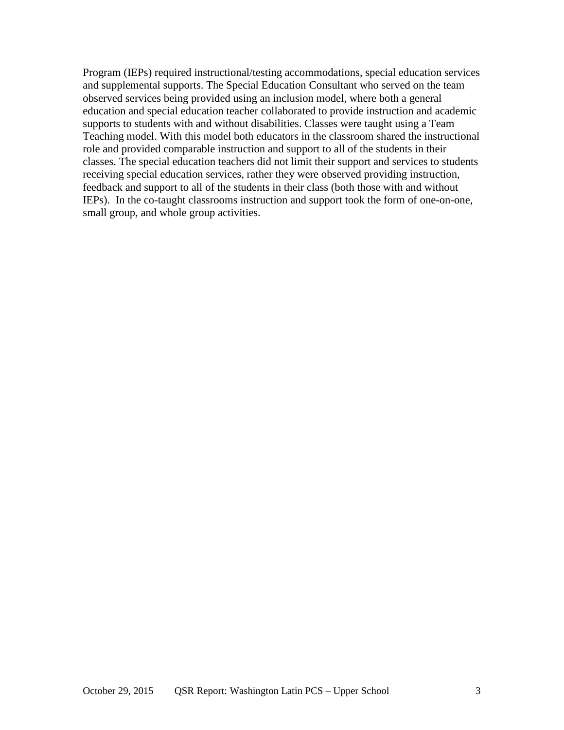Program (IEPs) required instructional/testing accommodations, special education services and supplemental supports. The Special Education Consultant who served on the team observed services being provided using an inclusion model, where both a general education and special education teacher collaborated to provide instruction and academic supports to students with and without disabilities. Classes were taught using a Team Teaching model. With this model both educators in the classroom shared the instructional role and provided comparable instruction and support to all of the students in their classes. The special education teachers did not limit their support and services to students receiving special education services, rather they were observed providing instruction, feedback and support to all of the students in their class (both those with and without IEPs). In the co-taught classrooms instruction and support took the form of one-on-one, small group, and whole group activities.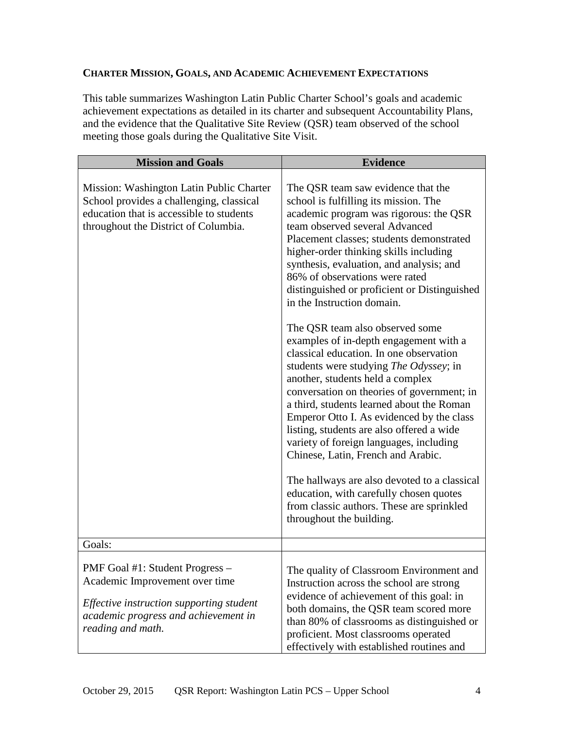## **CHARTER MISSION, GOALS, AND ACADEMIC ACHIEVEMENT EXPECTATIONS**

This table summarizes Washington Latin Public Charter School's goals and academic achievement expectations as detailed in its charter and subsequent Accountability Plans, and the evidence that the Qualitative Site Review (QSR) team observed of the school meeting those goals during the Qualitative Site Visit.

| <b>Mission and Goals</b>                                                                                                                                                   | <b>Evidence</b>                                                                                                                                                                                                                                                                                                                                                                                                                                                                                                                                                                                                                                                                                                                                                                                                                                                                                                                                                                                                                                                   |
|----------------------------------------------------------------------------------------------------------------------------------------------------------------------------|-------------------------------------------------------------------------------------------------------------------------------------------------------------------------------------------------------------------------------------------------------------------------------------------------------------------------------------------------------------------------------------------------------------------------------------------------------------------------------------------------------------------------------------------------------------------------------------------------------------------------------------------------------------------------------------------------------------------------------------------------------------------------------------------------------------------------------------------------------------------------------------------------------------------------------------------------------------------------------------------------------------------------------------------------------------------|
| Mission: Washington Latin Public Charter<br>School provides a challenging, classical<br>education that is accessible to students<br>throughout the District of Columbia.   | The QSR team saw evidence that the<br>school is fulfilling its mission. The<br>academic program was rigorous: the QSR<br>team observed several Advanced<br>Placement classes; students demonstrated<br>higher-order thinking skills including<br>synthesis, evaluation, and analysis; and<br>86% of observations were rated<br>distinguished or proficient or Distinguished<br>in the Instruction domain.<br>The QSR team also observed some<br>examples of in-depth engagement with a<br>classical education. In one observation<br>students were studying <i>The Odyssey</i> ; in<br>another, students held a complex<br>conversation on theories of government; in<br>a third, students learned about the Roman<br>Emperor Otto I. As evidenced by the class<br>listing, students are also offered a wide<br>variety of foreign languages, including<br>Chinese, Latin, French and Arabic.<br>The hallways are also devoted to a classical<br>education, with carefully chosen quotes<br>from classic authors. These are sprinkled<br>throughout the building. |
| Goals:                                                                                                                                                                     |                                                                                                                                                                                                                                                                                                                                                                                                                                                                                                                                                                                                                                                                                                                                                                                                                                                                                                                                                                                                                                                                   |
| PMF Goal #1: Student Progress -<br>Academic Improvement over time<br>Effective instruction supporting student<br>academic progress and achievement in<br>reading and math. | The quality of Classroom Environment and<br>Instruction across the school are strong<br>evidence of achievement of this goal: in<br>both domains, the QSR team scored more<br>than 80% of classrooms as distinguished or<br>proficient. Most classrooms operated<br>effectively with established routines and                                                                                                                                                                                                                                                                                                                                                                                                                                                                                                                                                                                                                                                                                                                                                     |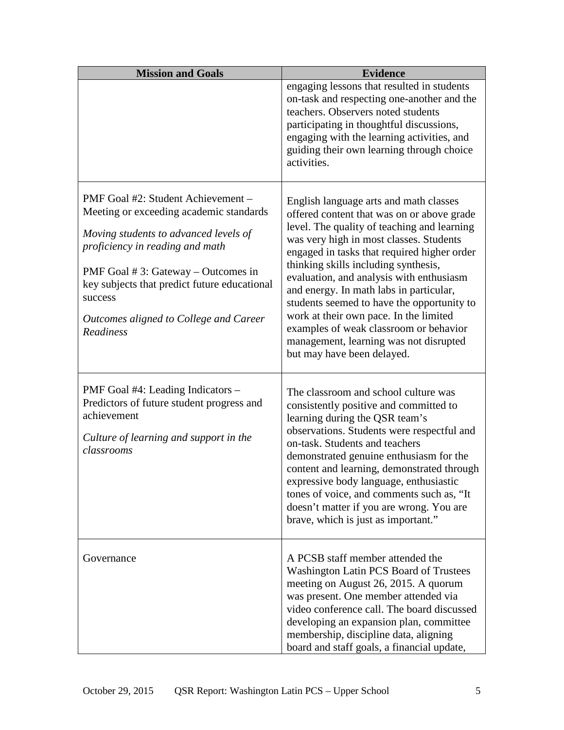| <b>Mission and Goals</b>                                                                                                                                                                                                                                                                                                     | <b>Evidence</b>                                                                                                                                                                                                                                                                                                                                                                                                                                                                                                                                                        |
|------------------------------------------------------------------------------------------------------------------------------------------------------------------------------------------------------------------------------------------------------------------------------------------------------------------------------|------------------------------------------------------------------------------------------------------------------------------------------------------------------------------------------------------------------------------------------------------------------------------------------------------------------------------------------------------------------------------------------------------------------------------------------------------------------------------------------------------------------------------------------------------------------------|
|                                                                                                                                                                                                                                                                                                                              | engaging lessons that resulted in students<br>on-task and respecting one-another and the<br>teachers. Observers noted students<br>participating in thoughtful discussions,<br>engaging with the learning activities, and<br>guiding their own learning through choice<br>activities.                                                                                                                                                                                                                                                                                   |
| PMF Goal #2: Student Achievement –<br>Meeting or exceeding academic standards<br>Moving students to advanced levels of<br>proficiency in reading and math<br>PMF Goal $# 3$ : Gateway – Outcomes in<br>key subjects that predict future educational<br>success<br>Outcomes aligned to College and Career<br><b>Readiness</b> | English language arts and math classes<br>offered content that was on or above grade<br>level. The quality of teaching and learning<br>was very high in most classes. Students<br>engaged in tasks that required higher order<br>thinking skills including synthesis,<br>evaluation, and analysis with enthusiasm<br>and energy. In math labs in particular,<br>students seemed to have the opportunity to<br>work at their own pace. In the limited<br>examples of weak classroom or behavior<br>management, learning was not disrupted<br>but may have been delayed. |
| PMF Goal #4: Leading Indicators –<br>Predictors of future student progress and<br>achievement<br>Culture of learning and support in the<br>classrooms                                                                                                                                                                        | The classroom and school culture was<br>consistently positive and committed to<br>learning during the QSR team's<br>observations. Students were respectful and<br>on-task. Students and teachers<br>demonstrated genuine enthusiasm for the<br>content and learning, demonstrated through<br>expressive body language, enthusiastic<br>tones of voice, and comments such as, "It<br>doesn't matter if you are wrong. You are<br>brave, which is just as important."                                                                                                    |
| Governance                                                                                                                                                                                                                                                                                                                   | A PCSB staff member attended the<br>Washington Latin PCS Board of Trustees<br>meeting on August 26, 2015. A quorum<br>was present. One member attended via<br>video conference call. The board discussed<br>developing an expansion plan, committee<br>membership, discipline data, aligning<br>board and staff goals, a financial update,                                                                                                                                                                                                                             |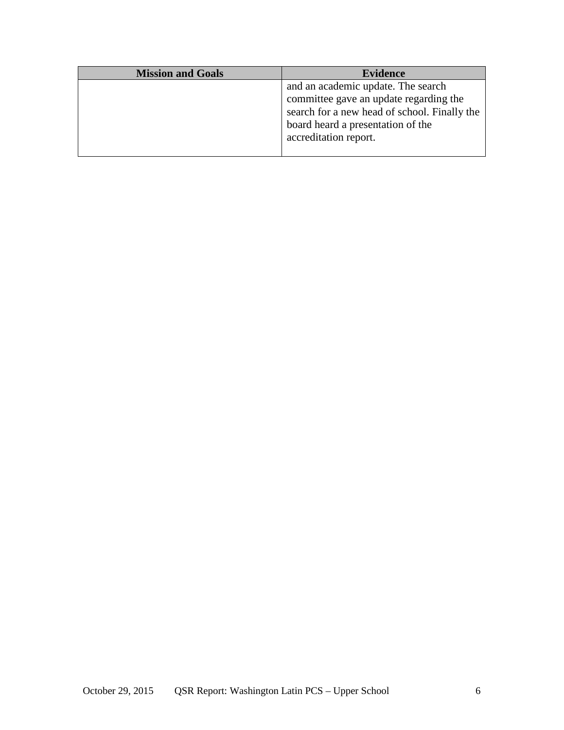| <b>Mission and Goals</b> | <b>Evidence</b>                                                                                                                                                   |
|--------------------------|-------------------------------------------------------------------------------------------------------------------------------------------------------------------|
|                          | and an academic update. The search<br>committee gave an update regarding the<br>search for a new head of school. Finally the<br>board heard a presentation of the |
|                          | accreditation report.                                                                                                                                             |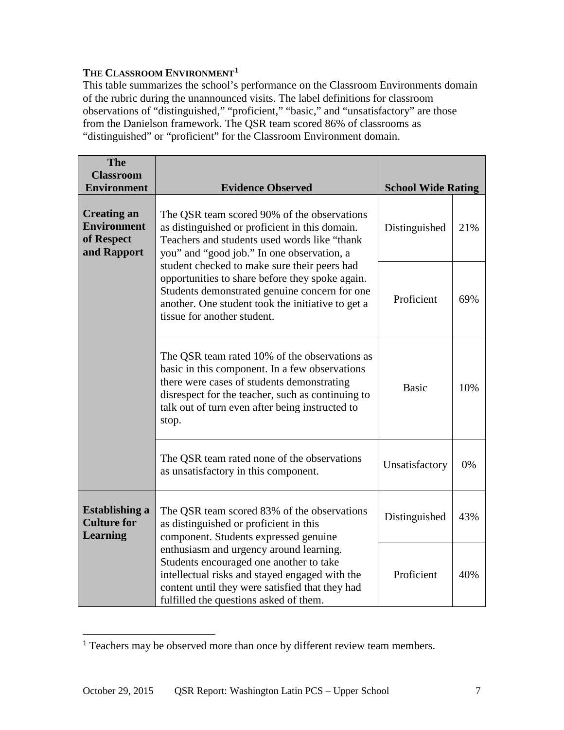## **THE CLASSROOM ENVIRONMENT1**

This table summarizes the school's performance on the Classroom Environments domain of the rubric during the unannounced visits. The label definitions for classroom observations of "distinguished," "proficient," "basic," and "unsatisfactory" are those from the Danielson framework. The QSR team scored 86% of classrooms as "distinguished" or "proficient" for the Classroom Environment domain.

| <b>The</b><br><b>Classroom</b>                                                                                                                                                                                                    |                                                                                                                                                                                                                                                                |                           |     |
|-----------------------------------------------------------------------------------------------------------------------------------------------------------------------------------------------------------------------------------|----------------------------------------------------------------------------------------------------------------------------------------------------------------------------------------------------------------------------------------------------------------|---------------------------|-----|
| <b>Environment</b>                                                                                                                                                                                                                | <b>Evidence Observed</b>                                                                                                                                                                                                                                       | <b>School Wide Rating</b> |     |
| <b>Creating an</b><br><b>Environment</b><br>of Respect<br>and Rapport                                                                                                                                                             | The QSR team scored 90% of the observations<br>as distinguished or proficient in this domain.<br>Teachers and students used words like "thank"<br>you" and "good job." In one observation, a                                                                   | Distinguished             | 21% |
|                                                                                                                                                                                                                                   | student checked to make sure their peers had<br>opportunities to share before they spoke again.<br>Students demonstrated genuine concern for one<br>another. One student took the initiative to get a<br>tissue for another student.                           | Proficient                | 69% |
|                                                                                                                                                                                                                                   | The QSR team rated 10% of the observations as<br>basic in this component. In a few observations<br>there were cases of students demonstrating<br>disrespect for the teacher, such as continuing to<br>talk out of turn even after being instructed to<br>stop. |                           | 10% |
|                                                                                                                                                                                                                                   | The QSR team rated none of the observations<br>as unsatisfactory in this component.                                                                                                                                                                            | Unsatisfactory            | 0%  |
| <b>Establishing a</b><br><b>Culture for</b><br><b>Learning</b>                                                                                                                                                                    | The QSR team scored 83% of the observations<br>as distinguished or proficient in this<br>component. Students expressed genuine                                                                                                                                 | Distinguished             | 43% |
| enthusiasm and urgency around learning.<br>Students encouraged one another to take<br>intellectual risks and stayed engaged with the<br>content until they were satisfied that they had<br>fulfilled the questions asked of them. |                                                                                                                                                                                                                                                                | Proficient                | 40% |

<sup>&</sup>lt;sup>1</sup> Teachers may be observed more than once by different review team members.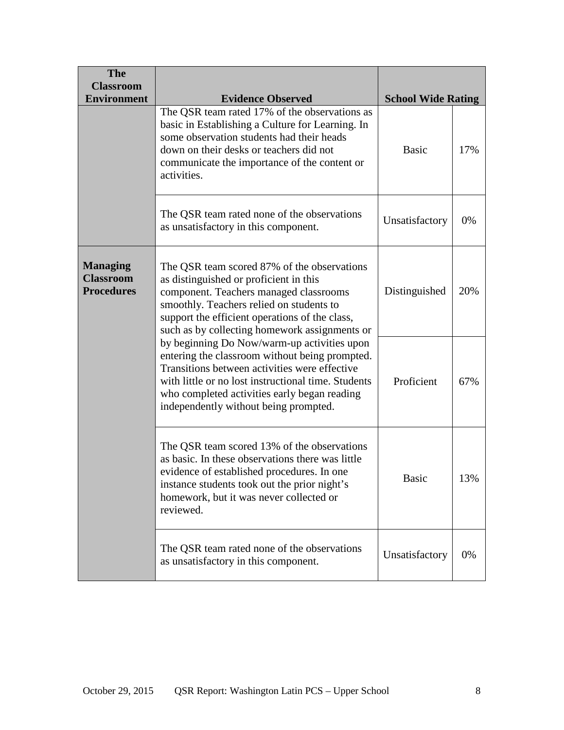| <b>The</b><br><b>Classroom</b><br><b>Environment</b>     | <b>Evidence Observed</b>                                                                                                                                                                                                                                                                       | <b>School Wide Rating</b> |     |
|----------------------------------------------------------|------------------------------------------------------------------------------------------------------------------------------------------------------------------------------------------------------------------------------------------------------------------------------------------------|---------------------------|-----|
|                                                          | The QSR team rated 17% of the observations as<br>basic in Establishing a Culture for Learning. In<br>some observation students had their heads<br>down on their desks or teachers did not<br>communicate the importance of the content or<br>activities.                                       |                           | 17% |
|                                                          | The QSR team rated none of the observations<br>as unsatisfactory in this component.                                                                                                                                                                                                            | Unsatisfactory            | 0%  |
| <b>Managing</b><br><b>Classroom</b><br><b>Procedures</b> | The QSR team scored 87% of the observations<br>as distinguished or proficient in this<br>component. Teachers managed classrooms<br>smoothly. Teachers relied on students to<br>support the efficient operations of the class,<br>such as by collecting homework assignments or                 | Distinguished             | 20% |
|                                                          | by beginning Do Now/warm-up activities upon<br>entering the classroom without being prompted.<br>Transitions between activities were effective<br>with little or no lost instructional time. Students<br>who completed activities early began reading<br>independently without being prompted. |                           | 67% |
|                                                          | The QSR team scored 13% of the observations<br>as basic. In these observations there was little<br>evidence of established procedures. In one<br>instance students took out the prior night's<br>homework, but it was never collected or<br>reviewed.                                          | <b>Basic</b>              | 13% |
|                                                          | The QSR team rated none of the observations<br>as unsatisfactory in this component.                                                                                                                                                                                                            | Unsatisfactory            | 0%  |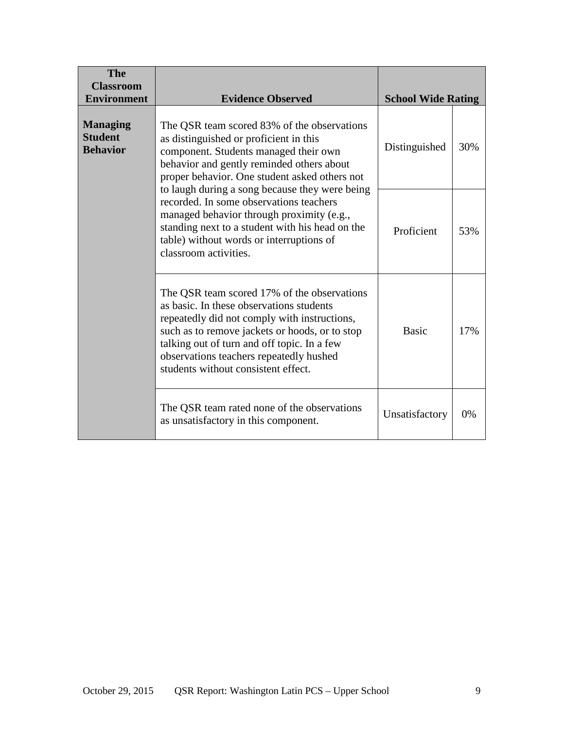| <b>The</b><br><b>Classroom</b><br><b>Environment</b> | <b>Evidence Observed</b>                                                                                                                                                                                                                                                                                                   | <b>School Wide Rating</b> |     |
|------------------------------------------------------|----------------------------------------------------------------------------------------------------------------------------------------------------------------------------------------------------------------------------------------------------------------------------------------------------------------------------|---------------------------|-----|
| <b>Managing</b><br><b>Student</b><br><b>Behavior</b> | The QSR team scored 83% of the observations<br>as distinguished or proficient in this<br>component. Students managed their own<br>behavior and gently reminded others about<br>proper behavior. One student asked others not                                                                                               | Distinguished             | 30% |
|                                                      | to laugh during a song because they were being<br>recorded. In some observations teachers<br>managed behavior through proximity (e.g.,<br>standing next to a student with his head on the<br>table) without words or interruptions of<br>classroom activities.                                                             |                           | 53% |
|                                                      | The QSR team scored 17% of the observations<br>as basic. In these observations students<br>repeatedly did not comply with instructions,<br>such as to remove jackets or hoods, or to stop<br>talking out of turn and off topic. In a few<br>observations teachers repeatedly hushed<br>students without consistent effect. | <b>Basic</b>              | 17% |
|                                                      | The QSR team rated none of the observations<br>as unsatisfactory in this component.                                                                                                                                                                                                                                        | Unsatisfactory            | 0%  |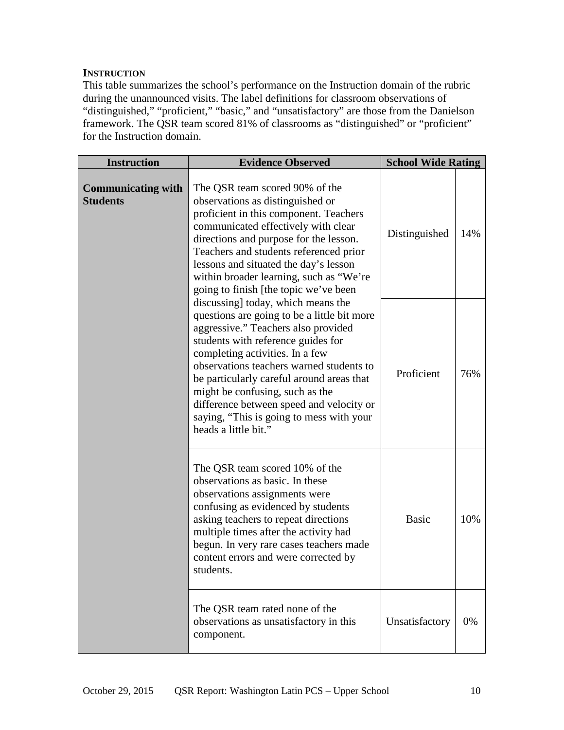## **INSTRUCTION**

This table summarizes the school's performance on the Instruction domain of the rubric during the unannounced visits. The label definitions for classroom observations of "distinguished," "proficient," "basic," and "unsatisfactory" are those from the Danielson framework. The QSR team scored 81% of classrooms as "distinguished" or "proficient" for the Instruction domain.

| <b>Instruction</b>                                                                                                                                                                                                                                                                                                                                                                                                                            | <b>Evidence Observed</b>                                                                                                                                                                                                                                                                                                                                             | <b>School Wide Rating</b> |     |
|-----------------------------------------------------------------------------------------------------------------------------------------------------------------------------------------------------------------------------------------------------------------------------------------------------------------------------------------------------------------------------------------------------------------------------------------------|----------------------------------------------------------------------------------------------------------------------------------------------------------------------------------------------------------------------------------------------------------------------------------------------------------------------------------------------------------------------|---------------------------|-----|
| <b>Communicating with</b><br><b>Students</b>                                                                                                                                                                                                                                                                                                                                                                                                  | The QSR team scored 90% of the<br>observations as distinguished or<br>proficient in this component. Teachers<br>communicated effectively with clear<br>directions and purpose for the lesson.<br>Teachers and students referenced prior<br>lessons and situated the day's lesson<br>within broader learning, such as "We're<br>going to finish [the topic we've been | Distinguished             | 14% |
| discussing] today, which means the<br>questions are going to be a little bit more<br>aggressive." Teachers also provided<br>students with reference guides for<br>completing activities. In a few<br>observations teachers warned students to<br>be particularly careful around areas that<br>might be confusing, such as the<br>difference between speed and velocity or<br>saying, "This is going to mess with your<br>heads a little bit." |                                                                                                                                                                                                                                                                                                                                                                      | Proficient                | 76% |
|                                                                                                                                                                                                                                                                                                                                                                                                                                               | The QSR team scored 10% of the<br>observations as basic. In these<br>observations assignments were<br>confusing as evidenced by students<br>asking teachers to repeat directions<br>multiple times after the activity had<br>begun. In very rare cases teachers made<br>content errors and were corrected by<br>students.                                            | <b>Basic</b>              | 10% |
|                                                                                                                                                                                                                                                                                                                                                                                                                                               | The QSR team rated none of the<br>observations as unsatisfactory in this<br>component.                                                                                                                                                                                                                                                                               | Unsatisfactory            | 0%  |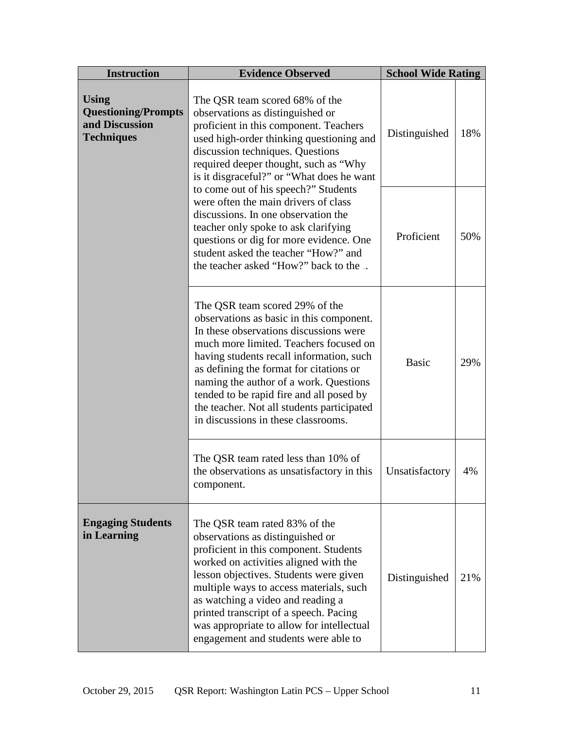| <b>Instruction</b>                                                                                                                                                                                                                                                                                                                                                                                                                                                                                                                                                                                                                                                | <b>Evidence Observed</b><br><b>School Wide Rating</b>                                                                                                                                                                                                                                                                                                                                                                            |                |     |
|-------------------------------------------------------------------------------------------------------------------------------------------------------------------------------------------------------------------------------------------------------------------------------------------------------------------------------------------------------------------------------------------------------------------------------------------------------------------------------------------------------------------------------------------------------------------------------------------------------------------------------------------------------------------|----------------------------------------------------------------------------------------------------------------------------------------------------------------------------------------------------------------------------------------------------------------------------------------------------------------------------------------------------------------------------------------------------------------------------------|----------------|-----|
| <b>Using</b><br>The QSR team scored 68% of the<br><b>Questioning/Prompts</b><br>observations as distinguished or<br>and Discussion<br>proficient in this component. Teachers<br><b>Techniques</b><br>used high-order thinking questioning and<br>discussion techniques. Questions<br>required deeper thought, such as "Why<br>is it disgraceful?" or "What does he want<br>to come out of his speech?" Students<br>were often the main drivers of class<br>discussions. In one observation the<br>teacher only spoke to ask clarifying<br>questions or dig for more evidence. One<br>student asked the teacher "How?" and<br>the teacher asked "How?" back to the |                                                                                                                                                                                                                                                                                                                                                                                                                                  | Distinguished  | 18% |
|                                                                                                                                                                                                                                                                                                                                                                                                                                                                                                                                                                                                                                                                   |                                                                                                                                                                                                                                                                                                                                                                                                                                  | Proficient     | 50% |
|                                                                                                                                                                                                                                                                                                                                                                                                                                                                                                                                                                                                                                                                   | The QSR team scored 29% of the<br>observations as basic in this component.<br>In these observations discussions were<br>much more limited. Teachers focused on<br>having students recall information, such<br>as defining the format for citations or<br>naming the author of a work. Questions<br>tended to be rapid fire and all posed by<br>the teacher. Not all students participated<br>in discussions in these classrooms. | <b>Basic</b>   | 29% |
|                                                                                                                                                                                                                                                                                                                                                                                                                                                                                                                                                                                                                                                                   | The QSR team rated less than 10% of<br>the observations as unsatisfactory in this<br>component.                                                                                                                                                                                                                                                                                                                                  | Unsatisfactory | 4%  |
| <b>Engaging Students</b><br>in Learning                                                                                                                                                                                                                                                                                                                                                                                                                                                                                                                                                                                                                           | The QSR team rated 83% of the<br>observations as distinguished or<br>proficient in this component. Students<br>worked on activities aligned with the<br>lesson objectives. Students were given<br>multiple ways to access materials, such<br>as watching a video and reading a<br>printed transcript of a speech. Pacing<br>was appropriate to allow for intellectual<br>engagement and students were able to                    | Distinguished  | 21% |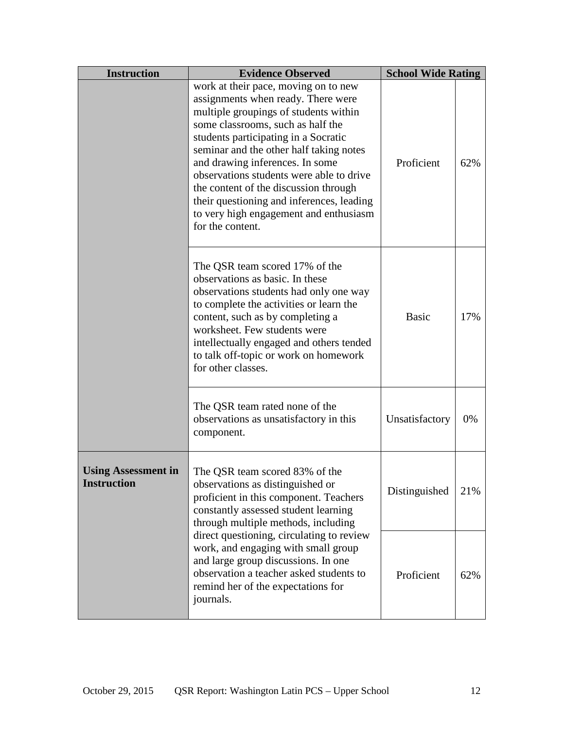| <b>Instruction</b>                                                                                                                                                                                                                              | <b>Evidence Observed</b>                                                                                                                                                                                                                                                                                                                                                                                                                                                       | <b>School Wide Rating</b> |     |
|-------------------------------------------------------------------------------------------------------------------------------------------------------------------------------------------------------------------------------------------------|--------------------------------------------------------------------------------------------------------------------------------------------------------------------------------------------------------------------------------------------------------------------------------------------------------------------------------------------------------------------------------------------------------------------------------------------------------------------------------|---------------------------|-----|
|                                                                                                                                                                                                                                                 | work at their pace, moving on to new<br>assignments when ready. There were<br>multiple groupings of students within<br>some classrooms, such as half the<br>students participating in a Socratic<br>seminar and the other half taking notes<br>and drawing inferences. In some<br>observations students were able to drive<br>the content of the discussion through<br>their questioning and inferences, leading<br>to very high engagement and enthusiasm<br>for the content. |                           | 62% |
|                                                                                                                                                                                                                                                 | The QSR team scored 17% of the<br>observations as basic. In these<br>observations students had only one way<br>to complete the activities or learn the<br>content, such as by completing a<br>worksheet. Few students were<br>intellectually engaged and others tended<br>to talk off-topic or work on homework<br>for other classes.                                                                                                                                          | <b>Basic</b>              | 17% |
| The QSR team rated none of the<br>observations as unsatisfactory in this<br>component.                                                                                                                                                          |                                                                                                                                                                                                                                                                                                                                                                                                                                                                                | Unsatisfactory            | 0%  |
| <b>Using Assessment in</b><br>The QSR team scored 83% of the<br><b>Instruction</b><br>observations as distinguished or<br>proficient in this component. Teachers<br>constantly assessed student learning<br>through multiple methods, including |                                                                                                                                                                                                                                                                                                                                                                                                                                                                                | Distinguished             | 21% |
|                                                                                                                                                                                                                                                 | direct questioning, circulating to review<br>work, and engaging with small group<br>and large group discussions. In one<br>observation a teacher asked students to<br>remind her of the expectations for<br>journals.                                                                                                                                                                                                                                                          |                           | 62% |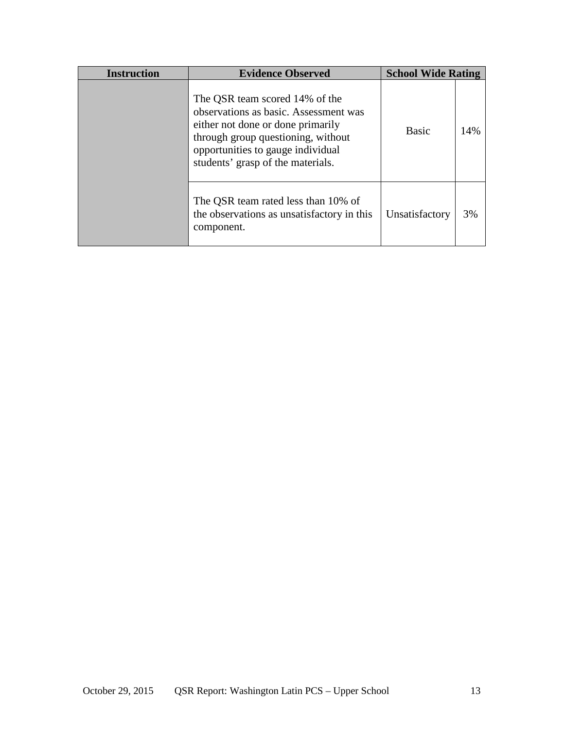| <b>Instruction</b> | <b>Evidence Observed</b>                                                                                                                                                                                                     | <b>School Wide Rating</b> |     |
|--------------------|------------------------------------------------------------------------------------------------------------------------------------------------------------------------------------------------------------------------------|---------------------------|-----|
|                    | The QSR team scored 14% of the<br>observations as basic. Assessment was<br>either not done or done primarily<br>through group questioning, without<br>opportunities to gauge individual<br>students' grasp of the materials. | <b>Basic</b>              | 14% |
|                    | The QSR team rated less than 10% of<br>the observations as unsatisfactory in this<br>component.                                                                                                                              | Unsatisfactory            | 3%  |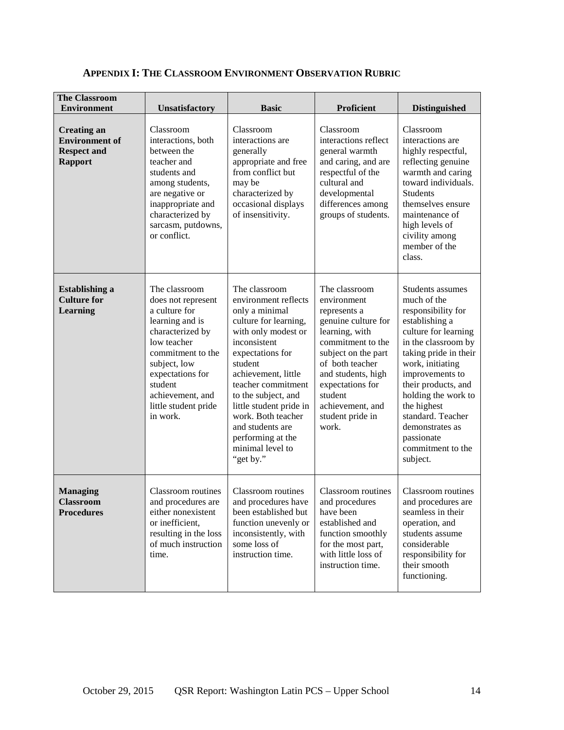| <b>The Classroom</b><br><b>Environment</b>                                          | Unsatisfactory                                                                                                                                                                                                                         | <b>Basic</b>                                                                                                                                                                                                                                                                                                                                          | Proficient                                                                                                                                                                                                                                                 | <b>Distinguished</b>                                                                                                                                                                                                                                                                                                                       |
|-------------------------------------------------------------------------------------|----------------------------------------------------------------------------------------------------------------------------------------------------------------------------------------------------------------------------------------|-------------------------------------------------------------------------------------------------------------------------------------------------------------------------------------------------------------------------------------------------------------------------------------------------------------------------------------------------------|------------------------------------------------------------------------------------------------------------------------------------------------------------------------------------------------------------------------------------------------------------|--------------------------------------------------------------------------------------------------------------------------------------------------------------------------------------------------------------------------------------------------------------------------------------------------------------------------------------------|
| <b>Creating an</b><br><b>Environment</b> of<br><b>Respect and</b><br><b>Rapport</b> | Classroom<br>interactions, both<br>between the<br>teacher and<br>students and<br>among students,<br>are negative or<br>inappropriate and<br>characterized by<br>sarcasm, putdowns,<br>or conflict.                                     | Classroom<br>interactions are<br>generally<br>appropriate and free<br>from conflict but<br>may be<br>characterized by<br>occasional displays<br>of insensitivity.                                                                                                                                                                                     | Classroom<br>interactions reflect<br>general warmth<br>and caring, and are<br>respectful of the<br>cultural and<br>developmental<br>differences among<br>groups of students.                                                                               | Classroom<br>interactions are<br>highly respectful,<br>reflecting genuine<br>warmth and caring<br>toward individuals.<br><b>Students</b><br>themselves ensure<br>maintenance of<br>high levels of<br>civility among<br>member of the<br>class.                                                                                             |
| <b>Establishing a</b><br><b>Culture for</b><br><b>Learning</b>                      | The classroom<br>does not represent<br>a culture for<br>learning and is<br>characterized by<br>low teacher<br>commitment to the<br>subject, low<br>expectations for<br>student<br>achievement, and<br>little student pride<br>in work. | The classroom<br>environment reflects<br>only a minimal<br>culture for learning,<br>with only modest or<br>inconsistent<br>expectations for<br>student<br>achievement, little<br>teacher commitment<br>to the subject, and<br>little student pride in<br>work. Both teacher<br>and students are<br>performing at the<br>minimal level to<br>"get by." | The classroom<br>environment<br>represents a<br>genuine culture for<br>learning, with<br>commitment to the<br>subject on the part<br>of both teacher<br>and students, high<br>expectations for<br>student<br>achievement, and<br>student pride in<br>work. | Students assumes<br>much of the<br>responsibility for<br>establishing a<br>culture for learning<br>in the classroom by<br>taking pride in their<br>work, initiating<br>improvements to<br>their products, and<br>holding the work to<br>the highest<br>standard. Teacher<br>demonstrates as<br>passionate<br>commitment to the<br>subject. |
| <b>Managing</b><br><b>Classroom</b><br><b>Procedures</b>                            | Classroom routines<br>and procedures are<br>either nonexistent<br>or inefficient,<br>resulting in the loss<br>of much instruction<br>time.                                                                                             | Classroom routines<br>and procedures have<br>been established but<br>function unevenly or<br>inconsistently, with<br>some loss of<br>instruction time.                                                                                                                                                                                                | Classroom routines<br>and procedures<br>have been<br>established and<br>function smoothly<br>for the most part,<br>with little loss of<br>instruction time.                                                                                                | Classroom routines<br>and procedures are<br>seamless in their<br>operation, and<br>students assume<br>considerable<br>responsibility for<br>their smooth<br>functioning.                                                                                                                                                                   |

## **APPENDIX I: THE CLASSROOM ENVIRONMENT OBSERVATION RUBRIC**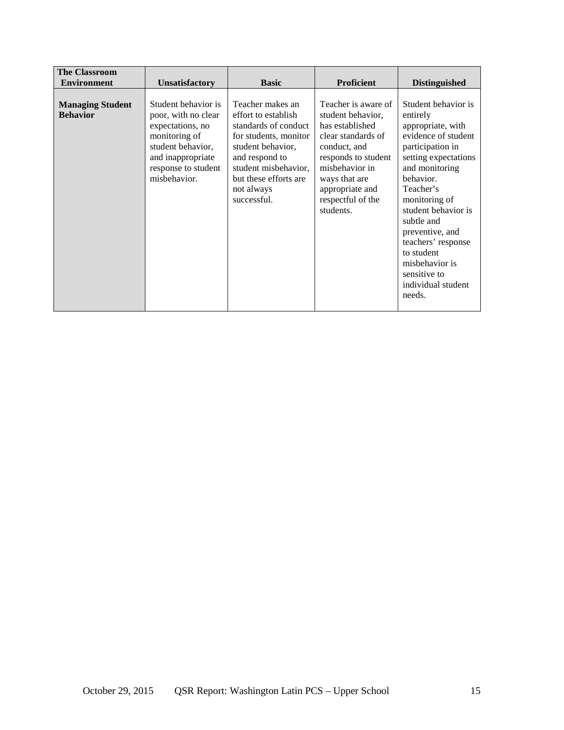| <b>The Classroom</b>                       |                                                                                                                                                                  |                                                                                                                                                                                                               |                                                                                                                                                                                                                  |                                                                                                                                                                                                                                                                                                                                                    |
|--------------------------------------------|------------------------------------------------------------------------------------------------------------------------------------------------------------------|---------------------------------------------------------------------------------------------------------------------------------------------------------------------------------------------------------------|------------------------------------------------------------------------------------------------------------------------------------------------------------------------------------------------------------------|----------------------------------------------------------------------------------------------------------------------------------------------------------------------------------------------------------------------------------------------------------------------------------------------------------------------------------------------------|
| <b>Environment</b>                         | <b>Unsatisfactory</b>                                                                                                                                            | <b>Basic</b>                                                                                                                                                                                                  | <b>Proficient</b>                                                                                                                                                                                                | <b>Distinguished</b>                                                                                                                                                                                                                                                                                                                               |
| <b>Managing Student</b><br><b>Behavior</b> | Student behavior is<br>poor, with no clear<br>expectations, no<br>monitoring of<br>student behavior,<br>and inappropriate<br>response to student<br>misbehavior. | Teacher makes an<br>effort to establish<br>standards of conduct<br>for students, monitor<br>student behavior,<br>and respond to<br>student misbehavior,<br>but these efforts are<br>not always<br>successful. | Teacher is aware of<br>student behavior,<br>has established<br>clear standards of<br>conduct, and<br>responds to student<br>misbehavior in<br>ways that are<br>appropriate and<br>respectful of the<br>students. | Student behavior is<br>entirely<br>appropriate, with<br>evidence of student<br>participation in<br>setting expectations<br>and monitoring<br>behavior.<br>Teacher's<br>monitoring of<br>student behavior is<br>subtle and<br>preventive, and<br>teachers' response<br>to student<br>misbehavior is<br>sensitive to<br>individual student<br>needs. |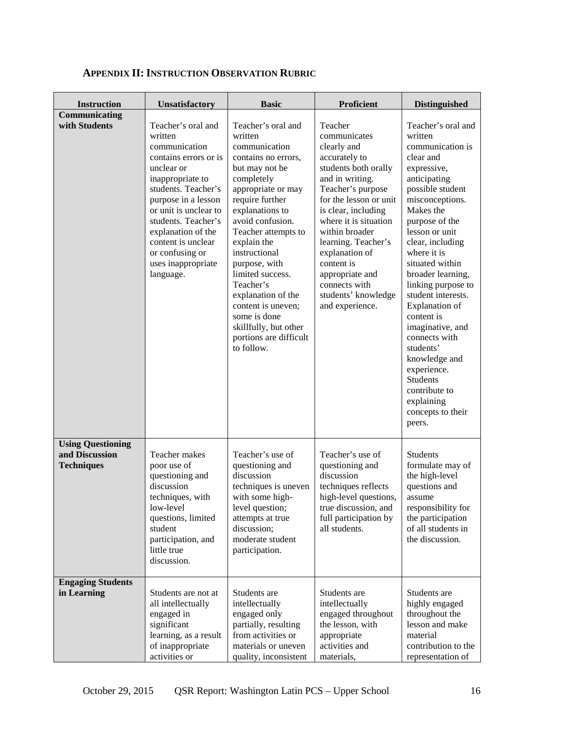| <b>Instruction</b>                                              | <b>Unsatisfactory</b>                                                                                                                                                                                                                                                                                     | <b>Basic</b>                                                                                                                                                                                                                                                                                                                                                                                                                | Proficient                                                                                                                                                                                                                                                                                                                                               | <b>Distinguished</b>                                                                                                                                                                                                                                                                                                                                                                                                                                                                                                   |
|-----------------------------------------------------------------|-----------------------------------------------------------------------------------------------------------------------------------------------------------------------------------------------------------------------------------------------------------------------------------------------------------|-----------------------------------------------------------------------------------------------------------------------------------------------------------------------------------------------------------------------------------------------------------------------------------------------------------------------------------------------------------------------------------------------------------------------------|----------------------------------------------------------------------------------------------------------------------------------------------------------------------------------------------------------------------------------------------------------------------------------------------------------------------------------------------------------|------------------------------------------------------------------------------------------------------------------------------------------------------------------------------------------------------------------------------------------------------------------------------------------------------------------------------------------------------------------------------------------------------------------------------------------------------------------------------------------------------------------------|
| Communicating<br>with Students                                  | Teacher's oral and<br>written<br>communication<br>contains errors or is<br>unclear or<br>inappropriate to<br>students. Teacher's<br>purpose in a lesson<br>or unit is unclear to<br>students. Teacher's<br>explanation of the<br>content is unclear<br>or confusing or<br>uses inappropriate<br>language. | Teacher's oral and<br>written<br>communication<br>contains no errors,<br>but may not be<br>completely<br>appropriate or may<br>require further<br>explanations to<br>avoid confusion.<br>Teacher attempts to<br>explain the<br>instructional<br>purpose, with<br>limited success.<br>Teacher's<br>explanation of the<br>content is uneven;<br>some is done<br>skillfully, but other<br>portions are difficult<br>to follow. | Teacher<br>communicates<br>clearly and<br>accurately to<br>students both orally<br>and in writing.<br>Teacher's purpose<br>for the lesson or unit<br>is clear, including<br>where it is situation<br>within broader<br>learning. Teacher's<br>explanation of<br>content is<br>appropriate and<br>connects with<br>students' knowledge<br>and experience. | Teacher's oral and<br>written<br>communication is<br>clear and<br>expressive,<br>anticipating<br>possible student<br>misconceptions.<br>Makes the<br>purpose of the<br>lesson or unit<br>clear, including<br>where it is<br>situated within<br>broader learning,<br>linking purpose to<br>student interests.<br><b>Explanation</b> of<br>content is<br>imaginative, and<br>connects with<br>students'<br>knowledge and<br>experience.<br><b>Students</b><br>contribute to<br>explaining<br>concepts to their<br>peers. |
| <b>Using Questioning</b><br>and Discussion<br><b>Techniques</b> | Teacher makes<br>poor use of<br>questioning and<br>discussion<br>techniques, with<br>low-level<br>questions, limited<br>student<br>participation, and<br>little true<br>discussion.                                                                                                                       | Teacher's use of<br>questioning and<br>discussion<br>techniques is uneven<br>with some high-<br>level question;<br>attempts at true<br>discussion;<br>moderate student<br>participation.                                                                                                                                                                                                                                    | Teacher's use of<br>questioning and<br>discussion<br>techniques reflects<br>high-level questions,<br>true discussion, and<br>full participation by<br>all students.                                                                                                                                                                                      | Students<br>formulate may of<br>the high-level<br>questions and<br>assume<br>responsibility for<br>the participation<br>of all students in<br>the discussion.                                                                                                                                                                                                                                                                                                                                                          |
| <b>Engaging Students</b><br>in Learning                         | Students are not at<br>all intellectually<br>engaged in<br>significant<br>learning, as a result<br>of inappropriate<br>activities or                                                                                                                                                                      | Students are<br>intellectually<br>engaged only<br>partially, resulting<br>from activities or<br>materials or uneven<br>quality, inconsistent                                                                                                                                                                                                                                                                                | Students are<br>intellectually<br>engaged throughout<br>the lesson, with<br>appropriate<br>activities and<br>materials,                                                                                                                                                                                                                                  | Students are<br>highly engaged<br>throughout the<br>lesson and make<br>material<br>contribution to the<br>representation of                                                                                                                                                                                                                                                                                                                                                                                            |

# **APPENDIX II: INSTRUCTION OBSERVATION RUBRIC**